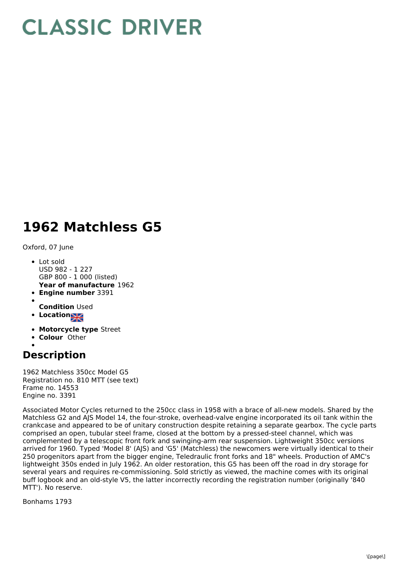## **CLASSIC DRIVER**

## **1962 Matchless G5**

Oxford, 07 June

- **Year of manufacture** 1962 • Lot sold USD 982 - 1 227 GBP 800 - 1 000 (listed)
- **Engine number** 3391
- 
- **Condition** Used
- **Location**
- **Motorcycle type** Street
- **Colour** Other

## **Description**

1962 Matchless 350cc Model G5 Registration no. 810 MTT (see text) Frame no. 14553 Engine no. 3391

Associated Motor Cycles returned to the 250cc class in 1958 with a brace of all-new models. Shared by the Matchless G2 and AJS Model 14, the four-stroke, overhead-valve engine incorporated its oil tank within the crankcase and appeared to be of unitary construction despite retaining a separate gearbox. The cycle parts comprised an open, tubular steel frame, closed at the bottom by a pressed-steel channel, which was complemented by a telescopic front fork and swinging-arm rear suspension. Lightweight 350cc versions arrived for 1960. Typed 'Model 8' (AJS) and 'G5' (Matchless) the newcomers were virtually identical to their 250 progenitors apart from the bigger engine, Teledraulic front forks and 18" wheels. Production of AMC's lightweight 350s ended in July 1962. An older restoration, this G5 has been off the road in dry storage for several years and requires re-commissioning. Sold strictly as viewed, the machine comes with its original buff logbook and an old-style V5, the latter incorrectly recording the registration number (originally '840 MTT'). No reserve.

Bonhams 1793